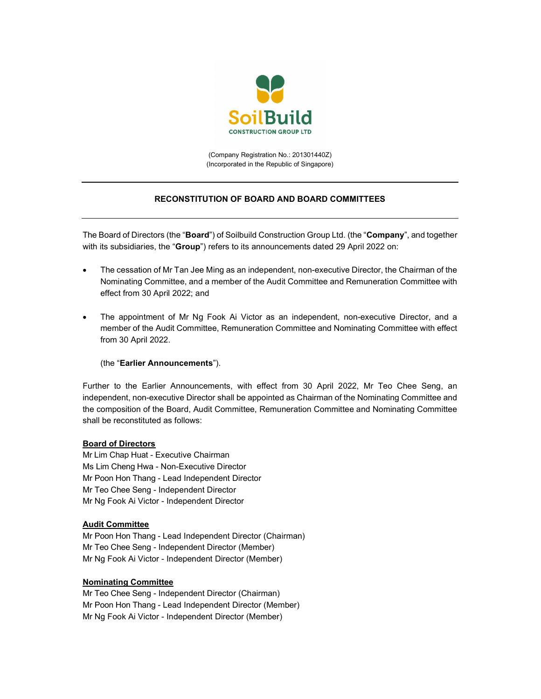

(Company Registration No.: 201301440Z) (Incorporated in the Republic of Singapore)

# RECONSTITUTION OF BOARD AND BOARD COMMITTEES

The Board of Directors (the "**Board**") of Soilbuild Construction Group Ltd. (the "**Company**", and together with its subsidiaries, the "Group") refers to its announcements dated 29 April 2022 on:

- The cessation of Mr Tan Jee Ming as an independent, non-executive Director, the Chairman of the Nominating Committee, and a member of the Audit Committee and Remuneration Committee with effect from 30 April 2022; and
- The appointment of Mr Ng Fook Ai Victor as an independent, non-executive Director, and a member of the Audit Committee, Remuneration Committee and Nominating Committee with effect from 30 April 2022.

(the "Earlier Announcements").

Further to the Earlier Announcements, with effect from 30 April 2022, Mr Teo Chee Seng, an independent, non-executive Director shall be appointed as Chairman of the Nominating Committee and the composition of the Board, Audit Committee, Remuneration Committee and Nominating Committee shall be reconstituted as follows:

## Board of Directors

Mr Lim Chap Huat - Executive Chairman Ms Lim Cheng Hwa - Non-Executive Director Mr Poon Hon Thang - Lead Independent Director Mr Teo Chee Seng - Independent Director Mr Ng Fook Ai Victor - Independent Director

## Audit Committee

Mr Poon Hon Thang - Lead Independent Director (Chairman) Mr Teo Chee Seng - Independent Director (Member) Mr Ng Fook Ai Victor - Independent Director (Member)

#### Nominating Committee

Mr Teo Chee Seng - Independent Director (Chairman) Mr Poon Hon Thang - Lead Independent Director (Member) Mr Ng Fook Ai Victor - Independent Director (Member)